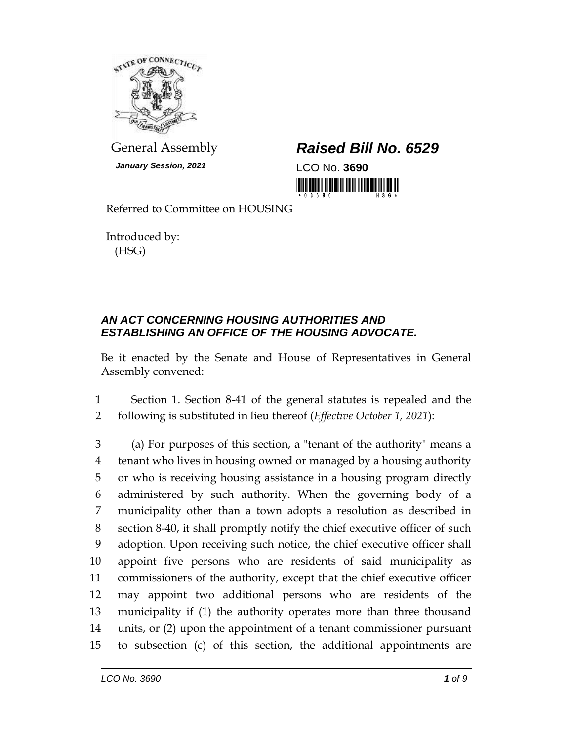

*January Session, 2021* LCO No. **3690**

## General Assembly *Raised Bill No. 6529*

<u> 1989 - Andrea Stadt Maria Maria (b. 1989)</u>

Referred to Committee on HOUSING

Introduced by: (HSG)

## *AN ACT CONCERNING HOUSING AUTHORITIES AND ESTABLISHING AN OFFICE OF THE HOUSING ADVOCATE.*

Be it enacted by the Senate and House of Representatives in General Assembly convened:

1 Section 1. Section 8-41 of the general statutes is repealed and the 2 following is substituted in lieu thereof (*Effective October 1, 2021*):

 (a) For purposes of this section, a "tenant of the authority" means a tenant who lives in housing owned or managed by a housing authority or who is receiving housing assistance in a housing program directly administered by such authority. When the governing body of a municipality other than a town adopts a resolution as described in section 8-40, it shall promptly notify the chief executive officer of such adoption. Upon receiving such notice, the chief executive officer shall appoint five persons who are residents of said municipality as commissioners of the authority, except that the chief executive officer may appoint two additional persons who are residents of the municipality if (1) the authority operates more than three thousand units, or (2) upon the appointment of a tenant commissioner pursuant to subsection (c) of this section, the additional appointments are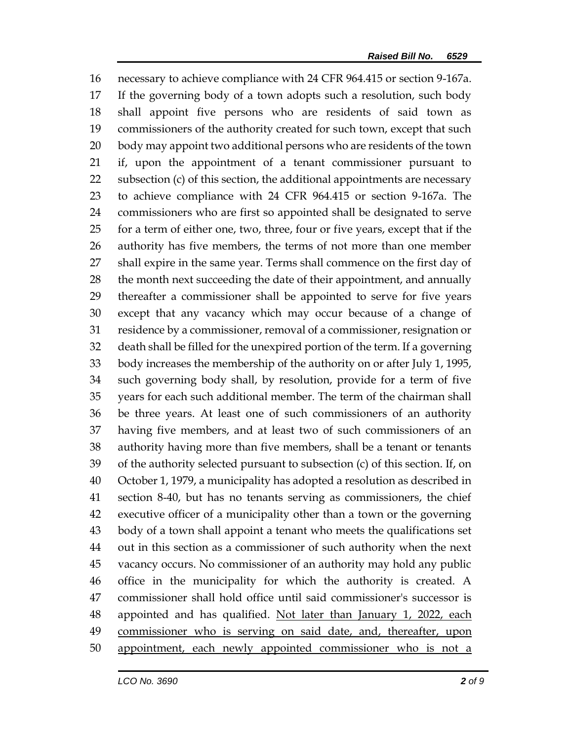necessary to achieve compliance with 24 CFR 964.415 or section 9-167a. If the governing body of a town adopts such a resolution, such body shall appoint five persons who are residents of said town as commissioners of the authority created for such town, except that such body may appoint two additional persons who are residents of the town if, upon the appointment of a tenant commissioner pursuant to subsection (c) of this section, the additional appointments are necessary to achieve compliance with 24 CFR 964.415 or section 9-167a. The commissioners who are first so appointed shall be designated to serve for a term of either one, two, three, four or five years, except that if the authority has five members, the terms of not more than one member shall expire in the same year. Terms shall commence on the first day of 28 the month next succeeding the date of their appointment, and annually thereafter a commissioner shall be appointed to serve for five years except that any vacancy which may occur because of a change of residence by a commissioner, removal of a commissioner, resignation or death shall be filled for the unexpired portion of the term. If a governing body increases the membership of the authority on or after July 1, 1995, such governing body shall, by resolution, provide for a term of five years for each such additional member. The term of the chairman shall be three years. At least one of such commissioners of an authority having five members, and at least two of such commissioners of an authority having more than five members, shall be a tenant or tenants of the authority selected pursuant to subsection (c) of this section. If, on October 1, 1979, a municipality has adopted a resolution as described in section 8-40, but has no tenants serving as commissioners, the chief executive officer of a municipality other than a town or the governing body of a town shall appoint a tenant who meets the qualifications set out in this section as a commissioner of such authority when the next vacancy occurs. No commissioner of an authority may hold any public office in the municipality for which the authority is created. A commissioner shall hold office until said commissioner's successor is 48 appointed and has qualified. Not later than January 1, 2022, each commissioner who is serving on said date, and, thereafter, upon appointment, each newly appointed commissioner who is not a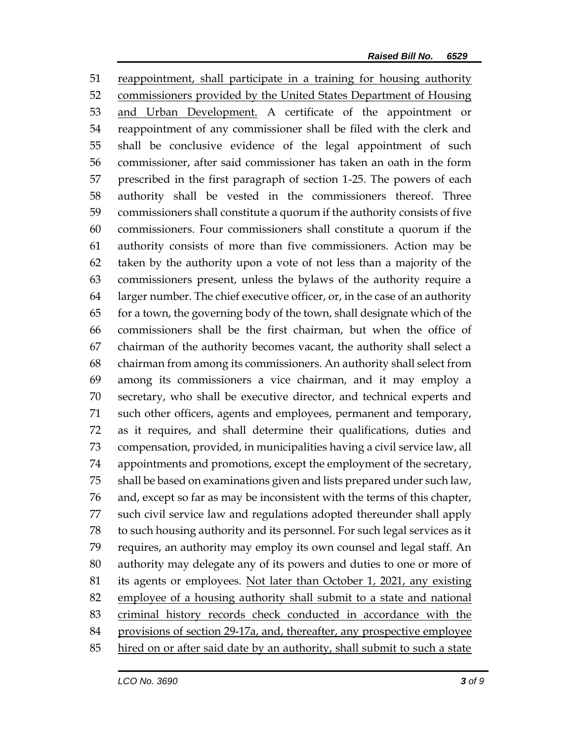reappointment, shall participate in a training for housing authority commissioners provided by the United States Department of Housing 53 and Urban Development. A certificate of the appointment or reappointment of any commissioner shall be filed with the clerk and shall be conclusive evidence of the legal appointment of such commissioner, after said commissioner has taken an oath in the form prescribed in the first paragraph of section 1-25. The powers of each authority shall be vested in the commissioners thereof. Three commissioners shall constitute a quorum if the authority consists of five commissioners. Four commissioners shall constitute a quorum if the authority consists of more than five commissioners. Action may be taken by the authority upon a vote of not less than a majority of the commissioners present, unless the bylaws of the authority require a larger number. The chief executive officer, or, in the case of an authority for a town, the governing body of the town, shall designate which of the commissioners shall be the first chairman, but when the office of chairman of the authority becomes vacant, the authority shall select a chairman from among its commissioners. An authority shall select from among its commissioners a vice chairman, and it may employ a secretary, who shall be executive director, and technical experts and such other officers, agents and employees, permanent and temporary, as it requires, and shall determine their qualifications, duties and compensation, provided, in municipalities having a civil service law, all appointments and promotions, except the employment of the secretary, shall be based on examinations given and lists prepared under such law, and, except so far as may be inconsistent with the terms of this chapter, such civil service law and regulations adopted thereunder shall apply to such housing authority and its personnel. For such legal services as it requires, an authority may employ its own counsel and legal staff. An authority may delegate any of its powers and duties to one or more of its agents or employees. Not later than October 1, 2021, any existing employee of a housing authority shall submit to a state and national 83 criminal history records check conducted in accordance with the 84 provisions of section 29-17a, and, thereafter, any prospective employee hired on or after said date by an authority, shall submit to such a state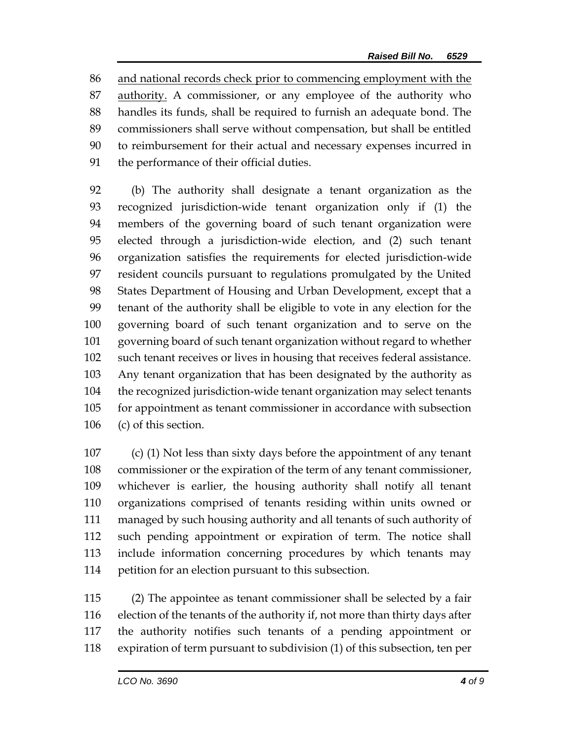and national records check prior to commencing employment with the authority. A commissioner, or any employee of the authority who handles its funds, shall be required to furnish an adequate bond. The commissioners shall serve without compensation, but shall be entitled to reimbursement for their actual and necessary expenses incurred in the performance of their official duties.

 (b) The authority shall designate a tenant organization as the recognized jurisdiction-wide tenant organization only if (1) the members of the governing board of such tenant organization were elected through a jurisdiction-wide election, and (2) such tenant organization satisfies the requirements for elected jurisdiction-wide resident councils pursuant to regulations promulgated by the United States Department of Housing and Urban Development, except that a tenant of the authority shall be eligible to vote in any election for the governing board of such tenant organization and to serve on the governing board of such tenant organization without regard to whether such tenant receives or lives in housing that receives federal assistance. Any tenant organization that has been designated by the authority as the recognized jurisdiction-wide tenant organization may select tenants for appointment as tenant commissioner in accordance with subsection (c) of this section.

 (c) (1) Not less than sixty days before the appointment of any tenant commissioner or the expiration of the term of any tenant commissioner, whichever is earlier, the housing authority shall notify all tenant organizations comprised of tenants residing within units owned or managed by such housing authority and all tenants of such authority of such pending appointment or expiration of term. The notice shall include information concerning procedures by which tenants may petition for an election pursuant to this subsection.

 (2) The appointee as tenant commissioner shall be selected by a fair election of the tenants of the authority if, not more than thirty days after the authority notifies such tenants of a pending appointment or expiration of term pursuant to subdivision (1) of this subsection, ten per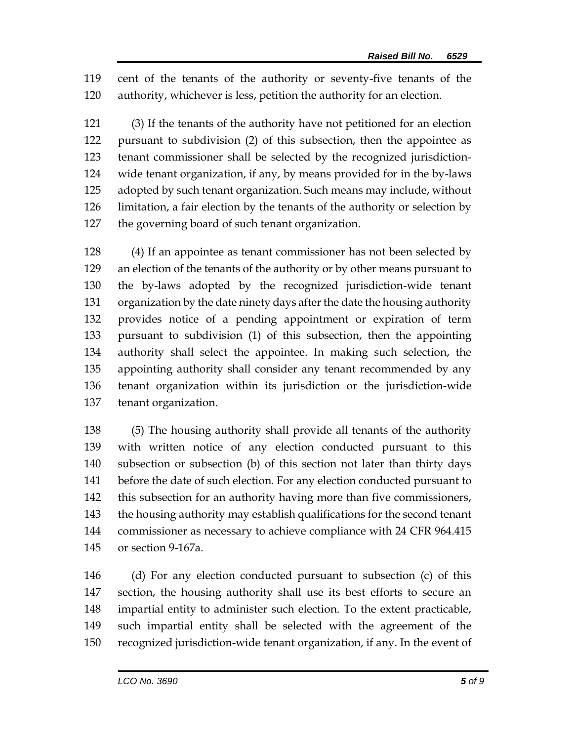cent of the tenants of the authority or seventy-five tenants of the authority, whichever is less, petition the authority for an election.

 (3) If the tenants of the authority have not petitioned for an election pursuant to subdivision (2) of this subsection, then the appointee as tenant commissioner shall be selected by the recognized jurisdiction- wide tenant organization, if any, by means provided for in the by-laws adopted by such tenant organization. Such means may include, without limitation, a fair election by the tenants of the authority or selection by the governing board of such tenant organization.

 (4) If an appointee as tenant commissioner has not been selected by an election of the tenants of the authority or by other means pursuant to the by-laws adopted by the recognized jurisdiction-wide tenant organization by the date ninety days after the date the housing authority provides notice of a pending appointment or expiration of term pursuant to subdivision (1) of this subsection, then the appointing authority shall select the appointee. In making such selection, the appointing authority shall consider any tenant recommended by any tenant organization within its jurisdiction or the jurisdiction-wide tenant organization.

 (5) The housing authority shall provide all tenants of the authority with written notice of any election conducted pursuant to this subsection or subsection (b) of this section not later than thirty days before the date of such election. For any election conducted pursuant to this subsection for an authority having more than five commissioners, the housing authority may establish qualifications for the second tenant commissioner as necessary to achieve compliance with 24 CFR 964.415 or section 9-167a.

 (d) For any election conducted pursuant to subsection (c) of this section, the housing authority shall use its best efforts to secure an impartial entity to administer such election. To the extent practicable, such impartial entity shall be selected with the agreement of the recognized jurisdiction-wide tenant organization, if any. In the event of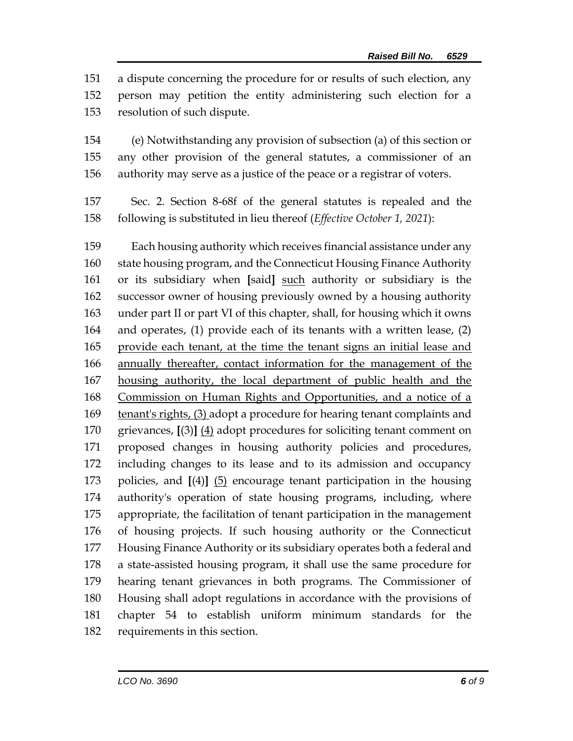a dispute concerning the procedure for or results of such election, any person may petition the entity administering such election for a resolution of such dispute.

 (e) Notwithstanding any provision of subsection (a) of this section or any other provision of the general statutes, a commissioner of an authority may serve as a justice of the peace or a registrar of voters.

 Sec. 2. Section 8-68f of the general statutes is repealed and the following is substituted in lieu thereof (*Effective October 1, 2021*):

 Each housing authority which receives financial assistance under any state housing program, and the Connecticut Housing Finance Authority or its subsidiary when **[**said**]** such authority or subsidiary is the successor owner of housing previously owned by a housing authority under part II or part VI of this chapter, shall, for housing which it owns and operates, (1) provide each of its tenants with a written lease, (2) provide each tenant, at the time the tenant signs an initial lease and annually thereafter, contact information for the management of the housing authority, the local department of public health and the Commission on Human Rights and Opportunities, and a notice of a tenant's rights, (3) adopt a procedure for hearing tenant complaints and grievances, **[**(3)**]** (4) adopt procedures for soliciting tenant comment on proposed changes in housing authority policies and procedures, including changes to its lease and to its admission and occupancy policies, and **[**(4)**]** (5) encourage tenant participation in the housing authority's operation of state housing programs, including, where appropriate, the facilitation of tenant participation in the management of housing projects. If such housing authority or the Connecticut Housing Finance Authority or its subsidiary operates both a federal and a state-assisted housing program, it shall use the same procedure for hearing tenant grievances in both programs. The Commissioner of Housing shall adopt regulations in accordance with the provisions of chapter 54 to establish uniform minimum standards for the requirements in this section.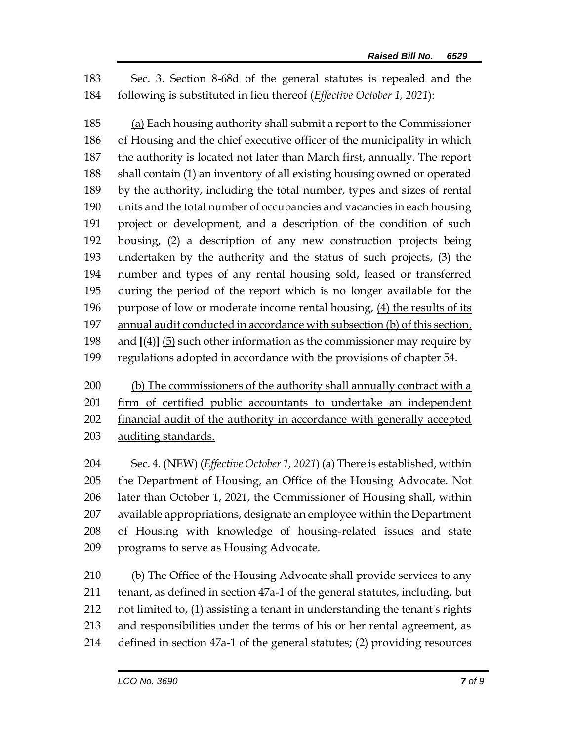Sec. 3. Section 8-68d of the general statutes is repealed and the following is substituted in lieu thereof (*Effective October 1, 2021*):

 (a) Each housing authority shall submit a report to the Commissioner of Housing and the chief executive officer of the municipality in which the authority is located not later than March first, annually. The report shall contain (1) an inventory of all existing housing owned or operated by the authority, including the total number, types and sizes of rental units and the total number of occupancies and vacancies in each housing project or development, and a description of the condition of such housing, (2) a description of any new construction projects being undertaken by the authority and the status of such projects, (3) the number and types of any rental housing sold, leased or transferred during the period of the report which is no longer available for the purpose of low or moderate income rental housing, (4) the results of its annual audit conducted in accordance with subsection (b) of this section, and **[**(4)**]** (5) such other information as the commissioner may require by regulations adopted in accordance with the provisions of chapter 54.

 (b) The commissioners of the authority shall annually contract with a firm of certified public accountants to undertake an independent financial audit of the authority in accordance with generally accepted 203 auditing standards.

 Sec. 4. (NEW) (*Effective October 1, 2021*) (a) There is established, within the Department of Housing, an Office of the Housing Advocate. Not later than October 1, 2021, the Commissioner of Housing shall, within available appropriations, designate an employee within the Department of Housing with knowledge of housing-related issues and state programs to serve as Housing Advocate.

 (b) The Office of the Housing Advocate shall provide services to any tenant, as defined in section 47a-1 of the general statutes, including, but not limited to, (1) assisting a tenant in understanding the tenant's rights and responsibilities under the terms of his or her rental agreement, as defined in section 47a-1 of the general statutes; (2) providing resources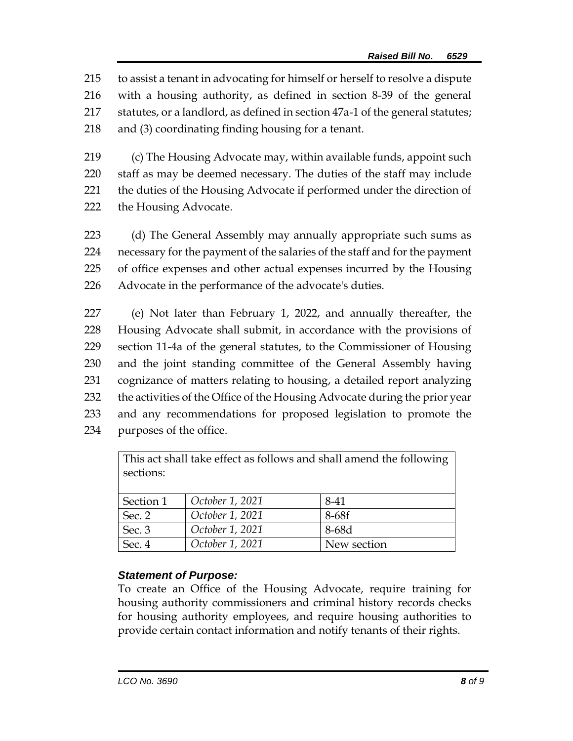to assist a tenant in advocating for himself or herself to resolve a dispute with a housing authority, as defined in section 8-39 of the general statutes, or a landlord, as defined in section 47a-1 of the general statutes; and (3) coordinating finding housing for a tenant.

219 (c) The Housing Advocate may, within available funds, appoint such 220 staff as may be deemed necessary. The duties of the staff may include 221 the duties of the Housing Advocate if performed under the direction of 222 the Housing Advocate.

 (d) The General Assembly may annually appropriate such sums as necessary for the payment of the salaries of the staff and for the payment of office expenses and other actual expenses incurred by the Housing Advocate in the performance of the advocate's duties.

 (e) Not later than February 1, 2022, and annually thereafter, the Housing Advocate shall submit, in accordance with the provisions of section 11-4a of the general statutes, to the Commissioner of Housing and the joint standing committee of the General Assembly having cognizance of matters relating to housing, a detailed report analyzing the activities of the Office of the Housing Advocate during the prior year and any recommendations for proposed legislation to promote the purposes of the office.

| This act shall take effect as follows and shall amend the following |                 |             |
|---------------------------------------------------------------------|-----------------|-------------|
| sections:                                                           |                 |             |
|                                                                     |                 |             |
| Section 1                                                           | October 1, 2021 | 8-41        |
| Sec. 2                                                              | October 1, 2021 | 8-68f       |
| Sec. 3                                                              | October 1, 2021 | 8-68d       |
| Sec. 4                                                              | October 1, 2021 | New section |

## *Statement of Purpose:*

To create an Office of the Housing Advocate, require training for housing authority commissioners and criminal history records checks for housing authority employees, and require housing authorities to provide certain contact information and notify tenants of their rights.